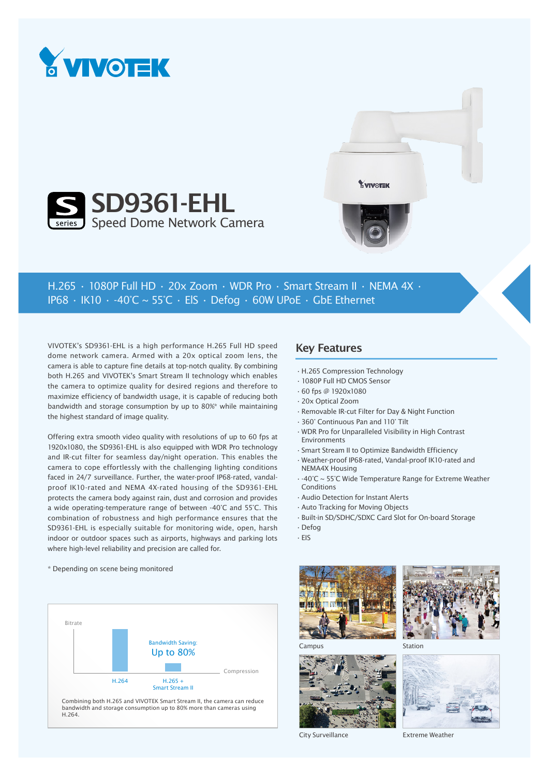





H.265 • 1080P Full HD • 20x Zoom • WDR Pro • Smart Stream II • NEMA 4X • IP68  $\cdot$  IK10  $\cdot$  -40°C ~ 55°C  $\cdot$  ElS  $\cdot$  Defog  $\cdot$  60W UPoE  $\cdot$  GbE Ethernet

VIVOTEK's SD9361-EHL is a high performance H.265 Full HD speed dome network camera. Armed with a 20x optical zoom lens, the camera is able to capture fine details at top-notch quality. By combining both H.265 and VIVOTEK's Smart Stream II technology which enables the camera to optimize quality for desired regions and therefore to maximize efficiency of bandwidth usage, it is capable of reducing both bandwidth and storage consumption by up to 80%\* while maintaining the highest standard of image quality.

Offering extra smooth video quality with resolutions of up to 60 fps at 1920x1080, the SD9361-EHL is also equipped with WDR Pro technology and IR-cut filter for seamless day/night operation. This enables the camera to cope effortlessly with the challenging lighting conditions faced in 24/7 surveillance. Further, the water-proof IP68-rated, vandalproof IK10-rated and NEMA 4X-rated housing of the SD9361-EHL protects the camera body against rain, dust and corrosion and provides a wide operating-temperature range of between -40°C and 55°C. This combination of robustness and high performance ensures that the SD9361-EHL is especially suitable for monitoring wide, open, harsh indoor or outdoor spaces such as airports, highways and parking lots where high-level reliability and precision are called for.

## Key Features

- •H.265 Compression Technology
- •1080P Full HD CMOS Sensor
- •60 fps @ 1920x1080
- •20x Optical Zoom
- •Removable IR-cut Filter for Day & Night Function
- •360° Continuous Pan and 110° Tilt
- •WDR Pro for Unparalleled Visibility in High Contrast Environments
- •Smart Stream II to Optimize Bandwidth Efficiency
- •Weather-proof IP68-rated, Vandal-proof IK10-rated and NEMA4X Housing
- •-40°C ~ 55°C Wide Temperature Range for Extreme Weather Conditions
- •Audio Detection for Instant Alerts
- •Auto Tracking for Moving Objects
- •Built-in SD/SDHC/SDXC Card Slot for On-board Storage
- •Defog
- •EIS





Station



City Surveillance

Extreme Weather

\* Depending on scene being monitored



bandwidth and storage consumption up to 80% more than cameras using H.264.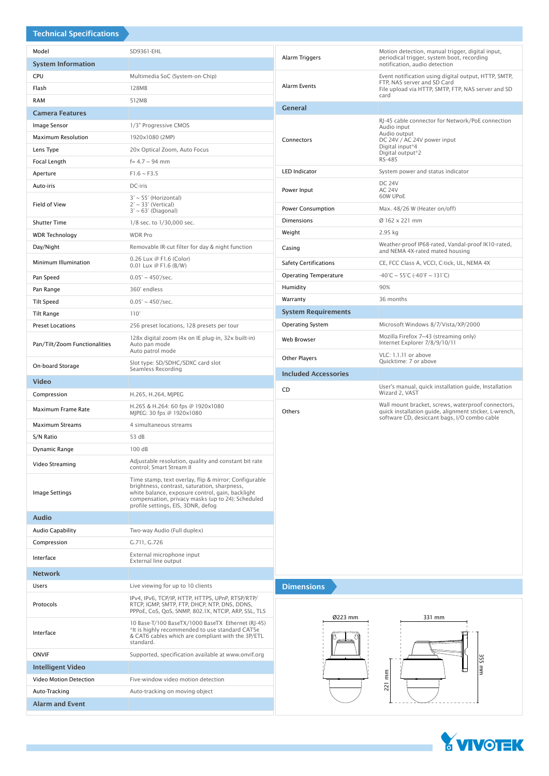| <b>Technical Specifications</b> |                                                                                                                                                                                                                                                      |                                                     |                                                                                                                                                              |
|---------------------------------|------------------------------------------------------------------------------------------------------------------------------------------------------------------------------------------------------------------------------------------------------|-----------------------------------------------------|--------------------------------------------------------------------------------------------------------------------------------------------------------------|
| Model                           | SD9361-EHL                                                                                                                                                                                                                                           | Alarm Triggers                                      | Motion detection, manual trigger, digital input,<br>periodical trigger, system boot, recording                                                               |
| <b>System Information</b>       |                                                                                                                                                                                                                                                      |                                                     | notification, audio detection                                                                                                                                |
| CPU                             | Multimedia SoC (System-on-Chip)                                                                                                                                                                                                                      | Alarm Events                                        | Event notification using digital output, HTTP, SMTP,<br>FTP, NAS server and SD Card<br>File upload via HTTP, SMTP, FTP, NAS server and SD<br>card            |
| Flash                           | 128MB                                                                                                                                                                                                                                                |                                                     |                                                                                                                                                              |
| <b>RAM</b>                      | 512MB                                                                                                                                                                                                                                                | <b>General</b>                                      |                                                                                                                                                              |
| <b>Camera Features</b>          |                                                                                                                                                                                                                                                      |                                                     | RJ-45 cable connector for Network/PoE connection                                                                                                             |
| Image Sensor                    | 1/3" Progressive CMOS                                                                                                                                                                                                                                | Connectors                                          | Audio input<br>Audio output<br>DC 24V / AC 24V power input<br>Digital input*4                                                                                |
| <b>Maximum Resolution</b>       | 1920x1080 (2MP)                                                                                                                                                                                                                                      |                                                     |                                                                                                                                                              |
| Lens Type                       | 20x Optical Zoom, Auto Focus                                                                                                                                                                                                                         |                                                     | Digital output*2<br>RS-485                                                                                                                                   |
| Focal Length                    | $f = 4.7 \sim 94$ mm                                                                                                                                                                                                                                 | <b>LED Indicator</b>                                | System power and status indicator                                                                                                                            |
| Aperture                        | $F1.6 \sim F3.5$                                                                                                                                                                                                                                     |                                                     | <b>DC 24V</b>                                                                                                                                                |
| Auto-iris<br>Field of View      | DC-iris<br>$3^{\circ} \sim 55^{\circ}$ (Horizontal)<br>$2^\circ \sim 33^\circ$ (Vertical)<br>$3^\circ \sim 63^\circ$ (Diagonal)                                                                                                                      | Power Input                                         | <b>AC 24V</b><br>60W UPoE                                                                                                                                    |
|                                 |                                                                                                                                                                                                                                                      | Power Consumption                                   | Max. 48/26 W (Heater on/off)                                                                                                                                 |
| <b>Shutter Time</b>             | 1/8 sec. to 1/30,000 sec.                                                                                                                                                                                                                            | Dimensions                                          | Ø 162 x 221 mm                                                                                                                                               |
| <b>WDR Technology</b>           | <b>WDR Pro</b>                                                                                                                                                                                                                                       | Weight                                              | 2.95 kg                                                                                                                                                      |
| Day/Night                       | Removable IR-cut filter for day & night function                                                                                                                                                                                                     | Casing                                              | Weather-proof IP68-rated, Vandal-proof IK10-rated,                                                                                                           |
|                                 | 0.26 Lux @ F1.6 (Color)                                                                                                                                                                                                                              |                                                     | and NEMA 4X-rated mated housing                                                                                                                              |
| Minimum Illumination            | 0.01 Lux @ F1.6 (B/W)                                                                                                                                                                                                                                | <b>Safety Certifications</b>                        | CE, FCC Class A, VCCI, C-tick, UL, NEMA 4X                                                                                                                   |
| Pan Speed                       | $0.05^{\circ} \sim 450^{\circ}/sec.$                                                                                                                                                                                                                 | <b>Operating Temperature</b>                        | $-40^{\circ}$ C ~ 55 $^{\circ}$ C (-40 $^{\circ}$ F ~ 131 $^{\circ}$ C)                                                                                      |
| Pan Range                       | 360° endless                                                                                                                                                                                                                                         | Humidity                                            | 90%                                                                                                                                                          |
| <b>Tilt Speed</b>               | $0.05^{\circ} \sim 450^{\circ}/sec.$                                                                                                                                                                                                                 | Warranty                                            | 36 months                                                                                                                                                    |
| <b>Tilt Range</b>               | $110^\circ$                                                                                                                                                                                                                                          | <b>System Requirements</b>                          |                                                                                                                                                              |
| <b>Preset Locations</b>         | 256 preset locations, 128 presets per tour                                                                                                                                                                                                           | <b>Operating System</b>                             | Microsoft Windows 8/7/Vista/XP/2000                                                                                                                          |
| Pan/Tilt/Zoom Functionalities   | 128x digital zoom (4x on IE plug-in, 32x built-in)<br>Auto pan mode<br>Auto patrol mode                                                                                                                                                              | Web Browser                                         | Mozilla Firefox 7~43 (streaming only)<br>Internet Explorer 7/8/9/10/11<br>VLC: 1.1.11 or above                                                               |
| On-board Storage                | Slot type: SD/SDHC/SDXC card slot<br>Seamless Recording                                                                                                                                                                                              | <b>Other Players</b><br><b>Included Accessories</b> | Quicktime: 7 or above                                                                                                                                        |
| <b>Video</b>                    |                                                                                                                                                                                                                                                      |                                                     | User's manual, quick installation guide, Installation                                                                                                        |
| Compression                     | H.265, H.264, MJPEG                                                                                                                                                                                                                                  | CD                                                  | Wizard 2, VAST                                                                                                                                               |
| Maximum Frame Rate              | H.265 & H.264: 60 fps @ 1920x1080<br>MJPEG: 30 fps @ 1920x1080                                                                                                                                                                                       | Others                                              | Wall mount bracket, screws, waterproof connectors,<br>quick installation guide, alignment sticker, L-wrench,<br>software CD, desiccant bags, I/O combo cable |
| <b>Maximum Streams</b>          | 4 simultaneous streams                                                                                                                                                                                                                               |                                                     |                                                                                                                                                              |
| S/N Ratio                       | 53 dB                                                                                                                                                                                                                                                |                                                     |                                                                                                                                                              |
| Dynamic Range                   | 100 dB                                                                                                                                                                                                                                               |                                                     |                                                                                                                                                              |
| Video Streaming                 | Adjustable resolution, quality and constant bit rate<br>control; Smart Stream II                                                                                                                                                                     |                                                     |                                                                                                                                                              |
| Image Settings                  | Time stamp, text overlay, flip & mirror; Configurable<br>brightness, contrast, saturation, sharpness,<br>white balance, exposure control, gain, backlight<br>compensation, privacy masks (up to 24); Scheduled<br>profile settings, EIS, 3DNR, defog |                                                     |                                                                                                                                                              |
| <b>Audio</b>                    |                                                                                                                                                                                                                                                      |                                                     |                                                                                                                                                              |
| <b>Audio Capability</b>         | Two-way Audio (Full duplex)                                                                                                                                                                                                                          |                                                     |                                                                                                                                                              |
| Compression                     | G.711, G.726                                                                                                                                                                                                                                         |                                                     |                                                                                                                                                              |
| Interface                       | External microphone input<br>External line output                                                                                                                                                                                                    |                                                     |                                                                                                                                                              |
| <b>Network</b>                  |                                                                                                                                                                                                                                                      |                                                     |                                                                                                                                                              |
| Users                           | Live viewing for up to 10 clients                                                                                                                                                                                                                    | <b>Dimensions</b>                                   |                                                                                                                                                              |
| Protocols                       | IPv4, IPv6, TCP/IP, HTTP, HTTPS, UPnP, RTSP/RTP/<br>RTCP, IGMP, SMTP, FTP, DHCP, NTP, DNS, DDNS,<br>PPPoE, CoS, QoS, SNMP, 802.1X, NTCIP, ARP, SSL, TLS                                                                                              |                                                     |                                                                                                                                                              |
| Interface                       | 10 Base-T/100 BaseTX/1000 BaseTX Ethernet (RJ-45)<br>*It is highly recommended to use standard CAT5e<br>& CAT6 cables which are compliant with the 3P/ETL<br>standard.                                                                               | Ø223 mm<br>331 mm                                   |                                                                                                                                                              |
| <b>ONVIF</b>                    | Supported, specification available at www.onvif.org                                                                                                                                                                                                  |                                                     |                                                                                                                                                              |
| <b>Intelligent Video</b>        |                                                                                                                                                                                                                                                      |                                                     | 355 mm                                                                                                                                                       |
| Video Motion Detection          |                                                                                                                                                                                                                                                      |                                                     |                                                                                                                                                              |
|                                 | Five-window video motion detection                                                                                                                                                                                                                   |                                                     | $\mathop{\rm lim}_{\hbox{\scriptsize{min}}}$                                                                                                                 |
| Auto-Tracking                   | Auto-tracking on moving object                                                                                                                                                                                                                       |                                                     | 221                                                                                                                                                          |